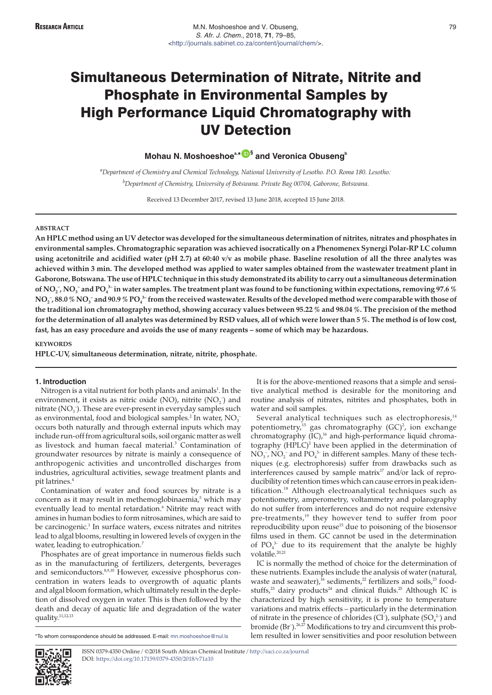# **Mohau N. Moshoeshoea,\* [§](https://orcid.org/0000-0002-5159-4895) and Veronica Obuseng<sup>b</sup>**

*a Department of Chemistry and Chemical Technology, National University of Lesotho. P.O. Roma 180. Lesotho.. b Department of Chemistry, University of Botswana. Private Bag 00704, Gaborone, Botswana.*

Received 13 December 2017, revised 13 June 2018, accepted 15 June 2018.

#### **ABSTRACT**

**An HPLC method using an UV detector was developed for the simultaneous determination of nitrites, nitrates and phosphates in environmental samples. Chromatographic separation was achieved isocratically on a Phenomenex Synergi Polar-RP LC column using acetonitrile and acidified water (pH 2.7) at 60:40 v/v as mobile phase. Baseline resolution of all the three analytes was achieved within 3 min. The developed method was applied to water samples obtained from the wastewater treatment plant in Gaborone, Botswana. The use of HPLC technique in this study demonstrated its ability to carry out a simultaneous determination** of NO<sub>2</sub> , NO<sub>3</sub> and PO<sub>4</sub>3 in water samples. The treatment plant was found to be functioning within expectations, removing 97.6 %  $NO_2^-$ , 88.0 %  $NO_3^-$  and 90.9 %  $PO_4^{\;3-}$  from the received wastewater. Results of the developed method were comparable with those of **the traditional ion chromatography method, showing accuracy values between 95.22 % and 98.04 %. The precision of the method for the determination of all analytes was determined by RSD values, all of which were lower than 5 %. The method is of low cost, fast, has an easy procedure and avoids the use of many reagents – some of which may be hazardous.**

#### **KEYWORDS**

**HPLC-UV, simultaneous determination, nitrate, nitrite, phosphate.**

## **1. Introduction**

Nitrogen is a vital nutrient for both plants and animals $^1$ . In the environment, it exists as nitric oxide (NO), nitrite  $(NO<sub>2</sub><sup>-</sup>)$  and nitrate  $(NO<sub>3</sub>^-)$ . These are ever-present in everyday samples such as environmental, food and biological samples.<sup>2</sup> In water,  $NO<sub>3</sub>$ <sup>-</sup> occurs both naturally and through external inputs which may include run-off from agricultural soils, soil organic matter as well as livestock and human faecal material.<sup>3</sup> Contamination of groundwater resources by nitrate is mainly a consequence of anthropogenic activities and uncontrolled discharges from industries, agricultural activities, sewage treatment plants and pit latrines.<sup>4</sup>

Contamination of water and food sources by nitrate is a concern as it may result in methemoglobinaemia,<sup>5</sup> which may eventually lead to mental retardation.<sup>6</sup> Nitrite may react with amines in human bodies to form nitrosamines, which are said to be carcinogenic.<sup>1</sup> In surface waters, excess nitrates and nitrites lead to algal blooms, resulting in lowered levels of oxygen in the water, leading to eutrophication.<sup>7</sup>

Phosphates are of great importance in numerous fields such as in the manufacturing of fertilizers, detergents, beverages and semiconductors.8,9,10 However, excessive phosphorus concentration in waters leads to overgrowth of aquatic plants and algal bloom formation, which ultimately result in the depletion of dissolved oxygen in water. This is then followed by the death and decay of aquatic life and degradation of the water quality.<sup>11,12,13</sup>

It is for the above-mentioned reasons that a simple and sensitive analytical method is desirable for the monitoring and routine analysis of nitrates, nitrites and phosphates, both in water and soil samples.

Several analytical techniques such as electrophoresis,<sup>14</sup> potentiometry,<sup>15</sup> gas chromatography (GC)<sup>2</sup>, ion exchange chromatography  $(IC)$ ,<sup>16</sup> and high-performance liquid chromatography  $(HPLC)^2$  have been applied in the determination of  $NO<sub>3</sub>$ ,  $NO<sub>2</sub>$  and  $PO<sub>4</sub>$ <sup>3</sup> in different samples. Many of these techniques (e.g. electrophoresis) suffer from drawbacks such as interferences caused by sample matrix<sup>17</sup> and/or lack of reproducibility of retention times which can cause errors in peak identification.<sup>18</sup> Although electroanalytical techniques such as potentiometry, amperometry, voltammetry and polarography do not suffer from interferences and do not require extensive pre-treatments,<sup>19</sup> they however tend to suffer from poor reproducibility upon reuse<sup>15</sup> due to poisoning of the biosensor films used in them. GC cannot be used in the determination of  $PO_4^3$  due to its requirement that the analyte be highly volatile.<sup>20,21</sup>

IC is normally the method of choice for the determination of these nutrients. Examples include the analysis of water (natural, waste and seawater),<sup>16</sup> sediments,<sup>22</sup> fertilizers and soils,<sup>23</sup> foodstuffs,<sup>23</sup> dairy products<sup>24</sup> and clinical fluids.<sup>25</sup> Although IC is characterized by high sensitivity, it is prone to temperature variations and matrix effects – particularly in the determination of nitrate in the presence of chlorides (Cl<sup>-</sup>), sulphate  $(SO_4^2)$  and bromide (Br<sup>-</sup>).<sup>26,27</sup> Modifications to try and circumvent this problem resulted in lower sensitivities and poor resolution between



ISSN 0379-4350 Online / ©2018 South African Chemical Institute / <http://saci.co.za/journal> DOI: <https://doi.org/10.17159/0379-4350/2018/v71a10>

<sup>\*</sup>To whom correspondence should be addressed. E-mail: [mn.moshoeshoe@nul.ls](mailto:mn.moshoeshoe@nul.ls)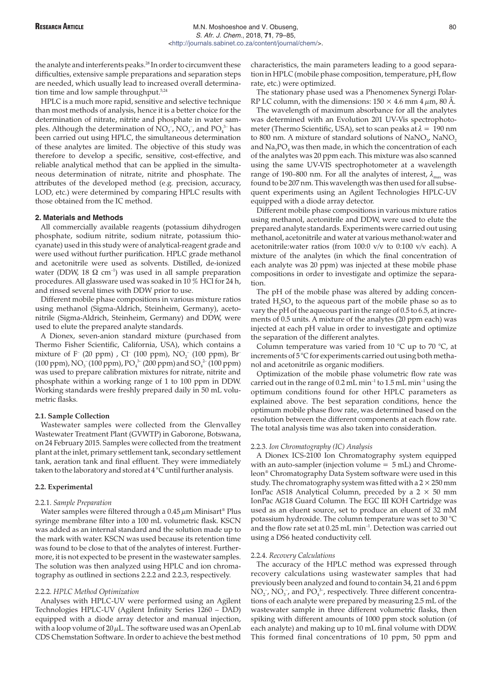the analyte and interferents peaks.<sup>28</sup> In order to circumvent these difficulties, extensive sample preparations and separation steps are needed, which usually lead to increased overall determination time and low sample throughput.<sup>5,24</sup>

HPLC is a much more rapid, sensitive and selective technique than most methods of analysis, hence it is a better choice for the determination of nitrate, nitrite and phosphate in water samples. Although the determination of  $\text{NO}_2^-$ ,  $\text{NO}_3^-$ , and  $\text{PO}_4^{\;3-}$  has been carried out using HPLC, the simultaneous determination of these analytes are limited. The objective of this study was therefore to develop a specific, sensitive, cost-effective, and reliable analytical method that can be applied in the simultaneous determination of nitrate, nitrite and phosphate. The attributes of the developed method (e.g. precision, accuracy, LOD, etc.) were determined by comparing HPLC results with those obtained from the IC method.

#### **2. Materials and Methods**

All commercially available reagents (potassium dihydrogen phosphate, sodium nitrite, sodium nitrate, potassium thiocyanate) used in this study were of analytical-reagent grade and were used without further purification. HPLC grade methanol and acetonitrile were used as solvents. Distilled, de-ionized water (DDW, 18  $\Omega$  cm<sup>-1</sup>) was used in all sample preparation procedures. All glassware used was soaked in 10 % HCl for 24 h, and rinsed several times with DDW prior to use.

Different mobile phase compositions in various mixture ratios using methanol (Sigma-Aldrich, Steinheim, Germany), acetonitrile (Sigma-Aldrich, Steinheim, Germany) and DDW, were used to elute the prepared analyte standards.

A Dionex, seven-anion standard mixture (purchased from Thermo Fisher Scientific, California, USA), which contains a mixture of F<sup>-</sup> (20 ppm) , Cl<sup>-</sup> (100 ppm),  $\rm NO_2^-$  (100 ppm), Br<sup>-</sup> (100 ppm),  $\rm NO_3^-$  (100 ppm),  $\rm PO_4^{3-}$  (200 ppm) and  $\rm SO_4^{2-}$  (100 ppm) was used to prepare calibration mixtures for nitrate, nitrite and phosphate within a working range of 1 to 100 ppm in DDW. Working standards were freshly prepared daily in 50 mL volumetric flasks.

### **2.1. Sample Collection**

Wastewater samples were collected from the Glenvalley Wastewater Treatment Plant (GVWTP) in Gaborone, Botswana, on 24 February 2015. Samples were collected from the treatment plant at the inlet, primary settlement tank, secondary settlement tank, aeration tank and final effluent. They were immediately taken to the laboratory and stored at 4 °C until further analysis.

## **2.2. Experimental**

#### 2.2.1. *Sample Preparation*

Water samples were filtered through a 0.45  $\mu$ m Minisart® Plus syringe membrane filter into a 100 mL volumetric flask. KSCN was added as an internal standard and the solution made up to the mark with water. KSCN was used because its retention time was found to be close to that of the analytes of interest. Furthermore, it is not expected to be present in the wastewater samples. The solution was then analyzed using HPLC and ion chromatography as outlined in sections 2.2.2 and 2.2.3, respectively.

## 2.2.2. *HPLC Method Optimization*

Analyses with HPLC-UV were performed using an Agilent Technologies HPLC-UV (Agilent Infinity Series 1260 – DAD) equipped with a diode array detector and manual injection, with a loop volume of  $20 \mu L$ . The software used was an OpenLab CDS Chemstation Software. In order to achieve the best method

characteristics, the main parameters leading to a good separation in HPLC (mobile phase composition, temperature, pH, flow rate, etc.) were optimized.

The stationary phase used was a Phenomenex Synergi Polar-RP LC column, with the dimensions:  $150 \times 4.6$  mm  $4 \mu$ m,  $80 \text{ Å}$ .

The wavelength of maximum absorbance for all the analytes was determined with an Evolution 201 UV-Vis spectrophotometer (Thermo Scientific, USA), set to scan peaks at  $\lambda = 190$  nm to 800 nm. A mixture of standard solutions of  $\text{NaNO}_3$ ,  $\text{NaNO}_2$ and  $\text{Na}_3\text{PO}_4$  was then made, in which the concentration of each of the analytes was 20 ppm each. This mixture was also scanned using the same UV-VIS spectrophotometer at a wavelength range of 190–800 nm. For all the analytes of interest,  $\lambda_{\text{max}}$  was found to be 207 nm. This wavelength was then used for all subsequent experiments using an Agilent Technologies HPLC-UV equipped with a diode array detector.

Different mobile phase compositions in various mixture ratios using methanol, acetonitrile and DDW, were used to elute the prepared analyte standards. Experiments were carried out using methanol, acetonitrile and water at various methanol:water and acetonitrile:water ratios (from 100:0 v/v to 0:100 v/v each). A mixture of the analytes (in which the final concentration of each analyte was 20 ppm) was injected at these mobile phase compositions in order to investigate and optimize the separation.

The pH of the mobile phase was altered by adding concentrated  $H_2SO_4$  to the aqueous part of the mobile phase so as to vary the pH of the aqueous part in the range of 0.5 to 6.5, at increments of 0.5 units. A mixture of the analytes (20 ppm each) was injected at each pH value in order to investigate and optimize the separation of the different analytes.

Column temperature was varied from 10  $^{\circ}$ C up to 70  $^{\circ}$ C, at increments of 5 °C for experiments carried out using both methanol and acetonitrile as organic modifiers.

Optimization of the mobile phase volumetric flow rate was carried out in the range of  $0.2$  mL min<sup>-1</sup> to  $1.5$  mL min<sup>-1</sup> using the optimum conditions found for other HPLC parameters as explained above. The best separation conditions, hence the optimum mobile phase flow rate, was determined based on the resolution between the different components at each flow rate. The total analysis time was also taken into consideration.

## 2.2.3. *Ion Chromatography (IC) Analysis*

A Dionex ICS-2100 Ion Chromatography system equipped with an auto-sampler (injection volume  $= 5$  mL) and Chromeleon® Chromatography Data System software were used in this study. The chromatography system was fitted with a  $2 \times 250$  mm IonPac AS18 Analytical Column, preceded by a  $2 \times 50$  mm IonPac AG18 Guard Column. The EGC III KOH Cartridge was used as an eluent source, set to produce an eluent of 32 mM potassium hydroxide. The column temperature was set to 30 °C and the flow rate set at 0.25 mL min<sup>-1</sup>. Detection was carried out using a DS6 heated conductivity cell.

## 2.2.4. *Recovery Calculations*

The accuracy of the HPLC method was expressed through recovery calculations using wastewater samples that had previously been analyzed and found to contain 34, 21 and 6 ppm  $NO<sub>2</sub>$ ,  $NO<sub>3</sub>$ , and  $PO<sub>4</sub>$ <sup>3</sup>, respectively. Three different concentrations of each analyte were prepared by measuring 2.5 mL of the wastewater sample in three different volumetric flasks, then spiking with different amounts of 1000 ppm stock solution (of each analyte) and making up to 10 mL final volume with DDW. This formed final concentrations of 10 ppm, 50 ppm and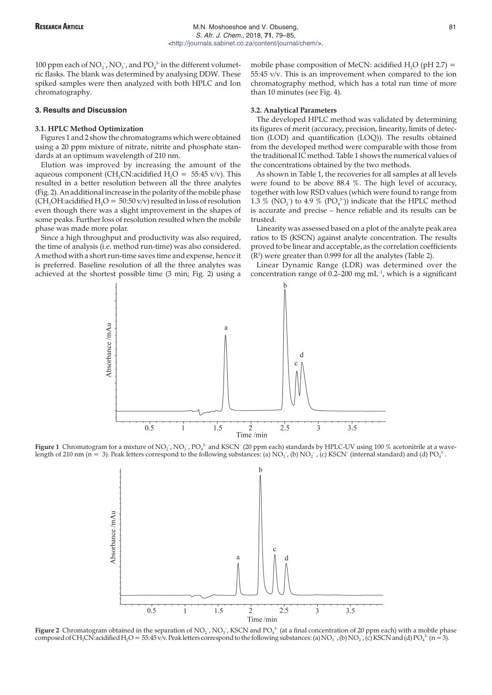100 ppm each of  $NO_2^-$ ,  $NO_3^-$ , and  $PO_4^{\text{3-}}$  in the different volumetric flasks. The blank was determined by analysing DDW. These spiked samples were then analyzed with both HPLC and Ion chromatography.

#### **3. Results and Discussion**

#### **3.1. HPLC Method Optimization**

Figures 1 and 2 show the chromatograms which were obtained using a 20 ppm mixture of nitrate, nitrite and phosphate standards at an optimum wavelength of 210 nm.

Elution was improved by increasing the amount of the aqueous component (CH<sub>3</sub>CN:acidified H<sub>2</sub>O = 55:45 v/v). This resulted in a better resolution between all the three analytes (Fig. 2). An additional increase in the polarity of the mobile phase (CH<sub>3</sub>OH:acidified H<sub>2</sub>O = 50:50 v/v) resulted in loss of resolution even though there was a slight improvement in the shapes of some peaks. Further loss of resolution resulted when the mobile phase was made more polar.

Since a high throughput and productivity was also required, the time of analysis (i.e. method run-time) was also considered. A method with a short run-time saves time and expense, hence it is preferred. Baseline resolution of all the three analytes was achieved at the shortest possible time (3 min; Fig. 2) using a

mobile phase composition of MeCN: acidified  $H<sub>2</sub>O$  (pH 2.7) = 55:45 v/v. This is an improvement when compared to the ion chromatography method, which has a total run time of more than 10 minutes (see Fig. 4).

## **3.2. Analytical Parameters**

The developed HPLC method was validated by determining its figures of merit (accuracy, precision, linearity, limits of detection (LOD) and quantification (LOQ)). The results obtained from the developed method were comparable with those from the traditional IC method. Table 1 shows the numerical values of the concentrations obtained by the two methods.

As shown in Table 1, the recoveries for all samples at all levels were found to be above 88.4 %. The high level of accuracy, together with low RSD values (which were found to range from 1.3 % (NO<sub>2</sub>) to 4.9 % (PO<sub>4</sub><sup>3</sup>)) indicate that the HPLC method is accurate and precise – hence reliable and its results can be trusted.

Linearity was assessed based on a plot of the analyte peak area ratios to IS (KSCN) against analyte concentration. The results proved to be linear and acceptable, as the correlation coefficients  $(R<sup>2</sup>)$  were greater than 0.999 for all the analytes (Table 2).

Linear Dynamic Range (LDR) was determined over the concentration range of  $0.2$ –200 mg mL<sup>-1</sup>, which is a significant



**Figure 1** Chromatogram for a mixture of NO<sub>2</sub> , NO<sub>3</sub> , PO<sub>4</sub>3 and KSCN<sup>-</sup> (20 ppm each) standards by HPLC-UV using 100 % acetonitrile at a wavelength of 210 nm (n = 3). Peak letters correspond to the following substances: (a) NO<sub>3</sub><sup>-</sup>, (b) NO<sub>2</sub><sup>-</sup>, (c) KSCN<sup>-</sup> (internal standard) and (d) PO<sub>4</sub><sup>3-</sup>.



**Figure 2** Chromatogram obtained in the separation of NO<sub>2</sub><sup>-</sup>, NO<sub>3</sub><sup>-</sup>, KSCN and PO<sub>4</sub><sup>3-</sup> (at a final concentration of 20 ppm each) with a mobile phase composed of CH<sub>3</sub>CN:acidified H<sub>2</sub>O = 55:45 v/v. Peak letters correspond to the following substances: (a) NO<sub>3</sub>-, (b) NO<sub>2</sub>-, (c) KSCN and (d) PO<sub>4</sub><sup>3-</sup> (n = 3).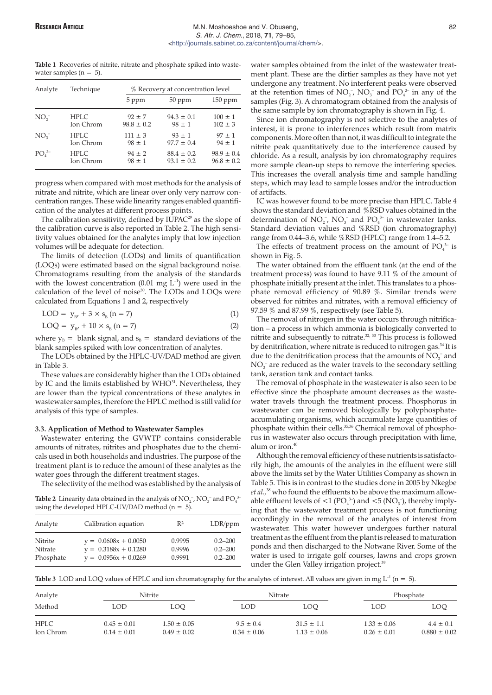# **RESEARCH ARTICLE ARTICLE ARTICLE M.N. Moshoeshoe and V. Obuseng,** 82 S. Afr. J. Chem., 2018, **71**, 79–85, [<http://journals.sabinet.co.za/content/journal/chem/](http://journals.sabinet.co.za/content/journal/chem/)>.

**Table 1** Recoveries of nitrite, nitrate and phosphate spiked into wastewater samples ( $n = 5$ ).

| Analyte             | Technique |                | % Recovery at concentration level |                |
|---------------------|-----------|----------------|-----------------------------------|----------------|
|                     |           | 5 ppm          | $50$ ppm                          | $150$ ppm      |
| NO <sub>2</sub>     | HPLC.     | $92 \pm 7$     | $94.3 \pm 0.1$                    | $100 \pm 1$    |
|                     | Ion Chrom | $98.8 \pm 0.2$ | $98 \pm 1$                        | $102 \pm 3$    |
| NO <sub>3</sub>     | HPLC.     | $111 \pm 3$    | $93 \pm 1$                        | $97 \pm 1$     |
|                     | Ion Chrom | $98 \pm 1$     | $97.7 \pm 0.4$                    | $94 \pm 1$     |
| $PO4$ <sup>3-</sup> | HPLC.     | $94 \pm 2$     | $88.4 \pm 0.2$                    | $98.9 \pm 0.4$ |
|                     | Ion Chrom | $98 \pm 1$     | $93.1 \pm 0.2$                    | $96.8 \pm 0.2$ |

progress when compared with most methods for the analysis of nitrate and nitrite, which are linear over only very narrow concentration ranges. These wide linearity ranges enabled quantification of the analytes at different process points.

The calibration sensitivity, defined by IUPAC $^{29}$  as the slope of the calibration curve is also reported in Table 2. The high sensitivity values obtained for the analytes imply that low injection volumes will be adequate for detection.

The limits of detection (LODs) and limits of quantification (LOQs) were estimated based on the signal background noise. Chromatograms resulting from the analysis of the standards with the lowest concentration (0.01 mg  $L^{-1}$ ) were used in the calculation of the level of noise<sup>30</sup>. The LODs and LOQs were calculated from Equations 1 and 2, respectively

$$
LOD = y_{B'} + 3 \times s_B (n = 7)
$$
 (1)

$$
LOQ = y_{B'} + 10 \times s_B (n = 7)
$$
 (2)

where  $y_B$  = blank signal, and  $s_B$  = standard deviations of the blank samples spiked with low concentration of analytes.

The LODs obtained by the HPLC-UV/DAD method are given in Table 3.

These values are considerably higher than the LODs obtained by IC and the limits established by WHO<sup>31</sup>. Nevertheless, they are lower than the typical concentrations of these analytes in wastewater samples, therefore the HPLC method is still valid for analysis of this type of samples.

## **3.3. Application of Method to Wastewater Samples**

Wastewater entering the GVWTP contains considerable amounts of nitrates, nitrites and phosphates due to the chemicals used in both households and industries. The purpose of the treatment plant is to reduce the amount of these analytes as the water goes through the different treatment stages.

The selectivity of the method was established by the analysis of

**Table 2** Linearity data obtained in the analysis of  $NO_2^-$ ,  $NO_3^-$  and  $PO_4^{3-}$ using the developed HPLC-UV/DAD method ( $n = 5$ ).

| Analyte   | Calibration equation   | $R^2$  | $LDR$ /ppm  |
|-----------|------------------------|--------|-------------|
| Nitrite   | $y = 0.0608x + 0.0050$ | 0.9995 | $0.2 - 200$ |
| Nitrate   | $y = 0.3188x + 0.1280$ | 0.9996 | $0.2 - 200$ |
| Phosphate | $y = 0.0956x + 0.0269$ | 0.9991 | $0.2 - 200$ |

water samples obtained from the inlet of the wastewater treatment plant. These are the dirtier samples as they have not yet undergone any treatment. No interferent peaks were observed at the retention times of  $NO<sub>2</sub>^-$ ,  $NO<sub>3</sub>^-$  and  $PO<sub>4</sub>^{3-}$  in any of the samples (Fig. 3). A chromatogram obtained from the analysis of the same sample by ion chromatography is shown in Fig. 4.

Since ion chromatography is not selective to the analytes of interest, it is prone to interferences which result from matrix components. More often than not, it was difficult to integrate the nitrite peak quantitatively due to the interference caused by chloride. As a result, analysis by ion chromatography requires more sample clean-up steps to remove the interfering species. This increases the overall analysis time and sample handling steps, which may lead to sample losses and/or the introduction of artifacts.

IC was however found to be more precise than HPLC. Table 4 shows the standard deviation and %RSD values obtained in the determination of  $NO_2^-$ ,  $NO_3^-$  and  $PO_4^{\;3-}$  in wastewater tanks. Standard deviation values and %RSD (ion chromatography) range from 0.44–3.6, while %RSD (HPLC) range from 1.4–5.2.

The effects of treatment process on the amount of  $PO_4^{3-}$  is shown in Fig. 5.

The water obtained from the effluent tank (at the end of the treatment process) was found to have 9.11 % of the amount of phosphate initially present at the inlet. This translates to a phosphate removal efficiency of 90.89 %. Similar trends were observed for nitrites and nitrates, with a removal efficiency of 97.59 % and 87.99 %, respectively (see Table 5).

The removal of nitrogen in the water occurs through nitrification – a process in which ammonia is biologically converted to nitrite and subsequently to nitrate.<sup>32, 33</sup> This process is followed by denitrification, where nitrate is reduced to nitrogen gas.<sup>34</sup> It is due to the denitrification process that the amounts of  $NO_2^-$  and  $NO<sub>3</sub><sup>-</sup>$  are reduced as the water travels to the secondary settling tank, aeration tank and contact tanks.

The removal of phosphate in the wastewater is also seen to be effective since the phosphate amount decreases as the wastewater travels through the treatment process. Phosphorus in wastewater can be removed biologically by polyphosphateaccumulating organisms, which accumulate large quantities of phosphate within their cells.35,36 Chemical removal of phosphorus in wastewater also occurs through precipitation with lime, alum or iron. $40$ 

Although the removal efficiency of these nutrients is satisfactorily high, the amounts of the analytes in the effluent were still above the limits set by the Water Utilities Company as shown in Table 5. This is in contrast to the studies done in 2005 by Nkegbe et al.,<sup>38</sup> who found the effluents to be above the maximum allowable effluent levels of  $\leq 1$  (PO<sub>4</sub><sup>3</sup>) and  $\leq 5$  (NO<sub>3</sub><sup>-</sup>), thereby implying that the wastewater treatment process is not functioning accordingly in the removal of the analytes of interest from wastewater. This water however undergoes further natural treatment as the effluent from the plant is released to maturation ponds and then discharged to the Notwane River. Some of the water is used to irrigate golf courses, lawns and crops grown under the Glen Valley irrigation project.<sup>39</sup>

**Table 3** LOD and LOQ values of HPLC and ion chromatography for the analytes of interest. All values are given in mg  $L^{-1}$  ( $n = 5$ ).

| Analyte                  |                                    | <b>Nitrite</b>                     | Nitrate                          |                                   |                                    | Phosphate                         |
|--------------------------|------------------------------------|------------------------------------|----------------------------------|-----------------------------------|------------------------------------|-----------------------------------|
| Method                   | LOD                                | LOO                                | LOD                              | LOO                               | LOD                                | LOQ.                              |
| <b>HPLC</b><br>Ion Chrom | $0.45 \pm 0.01$<br>$0.14 \pm 0.01$ | $1.50 \pm 0.05$<br>$0.49 \pm 0.02$ | $9.5 \pm 0.4$<br>$0.34 \pm 0.06$ | $31.5 \pm 1.1$<br>$1.13 \pm 0.06$ | $1.33 \pm 0.06$<br>$0.26 \pm 0.01$ | $4.4 \pm 0.1$<br>$0.880 \pm 0.02$ |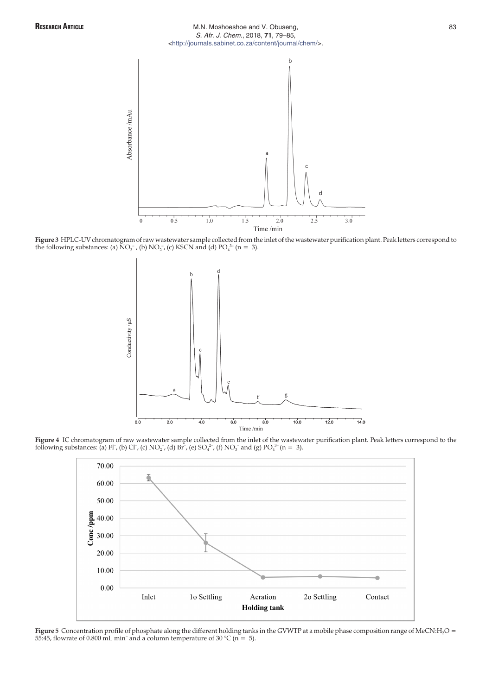# RESEARCH ARTICLE **ARTICLE ARTICLE A** M.N. Moshoeshoe and V. Obuseng, **83** S. Afr. J. Chem., 2018, **71**, 79–85, [<http://journals.sabinet.co.za/content/journal/chem/>](http://journals.sabinet.co.za/content/journal/chem/).



**Figure 3** HPLC-UV chromatogram of raw wastewater sample collected from the inlet of the wastewater purification plant. Peak letters correspond to the following substances: (a)  $NO_3^-$ , (b)  $NO_2^-$ , (c) KSCN and (d)  $PO_4^{3-}$  (n = 3).



**Figure 4** IC chromatogram of raw wastewater sample collected from the inlet of the wastewater purification plant. Peak letters correspond to the following substances: (a) Fl<sup>-</sup>, (b) Cl<sup>-</sup>, (c) NO<sub>2</sub><sup>-</sup>, (d) Br<sup>-</sup>, (e) SO<sub>4</sub><sup>2</sup>-, (f) NO<sub>3</sub><sup>-</sup> and (g) PO<sub>4</sub><sup>3</sup>- (n = 3).



Figure 5 Concentration profile of phosphate along the different holding tanks in the GVWTP at a mobile phase composition range of MeCN:H<sub>2</sub>O = 55:45, flowrate of 0.800 mL min<sup>-</sup> and a column temperature of 30 °C (n = 5).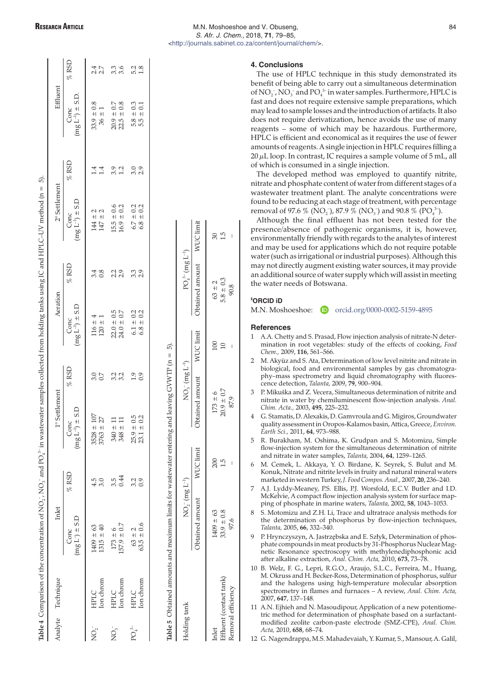| <b>RESEARCH ARTICLE</b> |  |
|-------------------------|--|
|-------------------------|--|

 $\%$ RSD

 $6.7 \pm 0.2$ <br> $6.8 \pm 0.2$ 

# **4. Conclusions**

The use of HPLC technique in this study demonstrated its benefit of being able to carry out a simultaneous determination of  $NO_2^-$ ,  $NO_3^-$  and  $PO_4^3$  in water samples. Furthermore, HPLC is fast and does not require extensive sample preparations, which may lead to sample losses and the introduction of artifacts. It also does not require derivatization, hence avoids the use of many reagents – some of which may be hazardous. Furthermore, HPLC is efficient and economical as it requires the use of fewer amounts of reagents. A single injection in HPLC requires filling a  $20 \mu L$  loop. In contrast, IC requires a sample volume of 5 mL, all of which is consumed in a single injection.

The developed method was employed to quantify nitrite, nitrate and phosphate content of water from different stages of a wastewater treatment plant. The analyte concentrations were found to be reducing at each stage of treatment, with percentage removal of 97.6 % (NO<sub>2</sub><sup>-</sup>), 87.9 % (NO<sub>3</sub><sup>-</sup>) and 90.8 % (PO<sub>4</sub><sup>3-</sup>).

Although the final effluent has not been tested for the presence/absence of pathogenic organisms, it is, however, environmentally friendly with regards to the analytes of interest and may be used for applications which do not require potable water (such as irrigational or industrial purposes). Although this may not directly augment existing water sources, it may provide an additional source of water supply which will assist in meeting the water needs of Botswana.

## **§ ORCID iD**

| M.N. Moshoeshoe: |  | orcid.org/0000-0002-5159-4895 |
|------------------|--|-------------------------------|
|------------------|--|-------------------------------|

## **References**

- 1 A.A. Chetty and S. Prasad, Flow injection analysis of nitrate-N determination in root vegetables: study of the effects of cooking, *Food Chem.,* 2009, **116**, 561–566.
- 2 M. Akyüz and S. Ata, Determination of low level nitrite and nitrate in biological, food and environmental samples by gas chromatography–mass spectrometry and liquid chromatography with fluorescence detection, *Talanta,* 2009, **79**, 900–904.
- 3 P. Mikuška and Z. Vecera, Simultaneous determination of nitrite and nitrate in water by chemiluminescent flow-injection analysis. *Anal. Chim. Acta.,* 2003, **495**, 225–232.
- 4 G. Stamatis, D. Alexakis, D. Gamvroula and G. Migiros, Groundwater quality assessment in Oropos-Kalamos basin, Attica, Greece, *Environ. Earth Sci.,* 2011, **64**, 973–988.
- 5 R. Burakham, M. Oshima, K. Grudpan and S. Motomizu, Simple flow-injection system for the simultaneous determination of nitrite and nitrate in water samples, *Talanta,* 2004, **64**, 1259–1265.
- 6 M. Cemek, L. Akkaya, Y. O. Birdane, K. Seyrek, S. Bulut and M. Konuk, Nitrate and nitrite levels in fruity and natural mineral waters marketed in western Turkey,*J. Food Compos. Anal.,* 2007, **20**, 236–240.
- 7 A.J. Lyddy-Meaney, P.S. Ellis, P.J. Worsfold, E.C.V. Butler and I.D. McKelvie, A compact flow injection analysis system for surface mapping of phosphate in marine waters, *Talanta,* 2002, **58**, 1043–1053.
- 8 S. Motomizu and Z.H. Li, Trace and ultratrace analysis methods for the determination of phosphorus by flow-injection techniques, *Talanta,* 2005, **66**, 332–340.
- 9 P. Hrynczyszyn, A. Jastrzębska and E. Szłyk, Determination of phosphate compounds in meat products by 31-Phosphorus Nuclear Magnetic Resonance spectroscopy with methylenediphosphonic acid after alkaline extraction, *Anal. Chim. Acta,* 2010, **673**, 73–78.
- 10 B. Welz, F. G., Lepri, R.G.O., Araujo, S.L.C., Ferreira, M., Huang, M. Okruss and H. Becker-Ross, Determination of phosphorus, sulfur and the halogens using high-temperature molecular absorption spectrometry in flames and furnaces – A review, *Anal. Chim. Acta,* 2007, **647**, 137–148.
- 11 A.N. Ejhieh and N. Masoudipour, Application of a new potentiometric method for determination of phosphate based on a surfactantmodified zeolite carbon-paste electrode (SMZ-CPE), *Anal. Chim. Acta,* 2010, **658**, 68–74.

12 G. Nagendrappa, M.S. Mahadevaiah, Y. Kumar, S., Mansour, A. Galil,

|                    | Analyte Technique | Inlet                          |                   | 1° Settlement                    |                   | Aeration                                                                |                  | $2^{\circ}$ Settlement                                |                 | Effluent                                                                             |                   |
|--------------------|-------------------|--------------------------------|-------------------|----------------------------------|-------------------|-------------------------------------------------------------------------|------------------|-------------------------------------------------------|-----------------|--------------------------------------------------------------------------------------|-------------------|
|                    |                   | $(mg L) \pm S.D$<br>Conc       | $%$ RSD           | $(mg\,L^{-1})\pm S.D$<br>Conc    | $%$ RSD           | $(mg L^{-1}) \pm S.D$                                                   | $%$ RSD          | $(mg L^{-1}) \pm S.D$<br>Conc                         | $%$ RSD         | $(mg L^{-1}) \pm S.D.$<br>Conc                                                       | $%$ RSD           |
| $NO2$ <sup>-</sup> | HPLC<br>Ion chrom | $1409 \pm 63$<br>$1315 \pm 40$ | 4.5<br>3.0        | 27<br>$+$<br>$+$<br>3528<br>3763 | $\frac{3.0}{0.7}$ | $116 \pm 4$<br>$120 \pm 1$                                              | $3.\overline{8}$ | $\begin{array}{c} 144 \pm 2 \\ 147 \pm 2 \end{array}$ | $\frac{4}{1.4}$ | $33.9 \pm 0.8$<br>$36 \pm 1$                                                         | 4 N<br>2 N        |
| $\mathrm{NO_3}^-$  | HPLC<br>Ion chrom | $173 \pm 6$<br>157.9 $\pm$ 0.7 | 3.5<br>0.44       | $+$<br>$+1$<br>348<br>348        | 3.2<br>3.2        | $\begin{array}{c} 22.0 \, \pm \, 0.5 \\ 24.0 \, \pm \, 0.7 \end{array}$ | 21 91<br>21 91   | $15.5 \pm 0.6$<br>$16.9 \pm 0.2$                      | 3.2             | $\begin{array}{c} 20.9 \, \pm \, 0.7 \\ 22.5 \, \pm \, 0.8 \end{array}$<br>$\pm$ 0.8 | $3.\overline{6}$  |
| $PO_4^{3-}$        | HPLC<br>Ion chrom | $63.5 \pm 0.6$<br>$63 \pm 2$   | $\frac{3.2}{0.9}$ | $+ 0.5$<br>+ 0.2<br>25.9<br>23.1 | 1.9<br>0.9        | $6.1 \pm 0.2$<br>$6.8 \pm 0.2$                                          | 3.3<br>2.9       | $6.7 \pm 0.2$<br>$6.8 \pm 0.2$                        | 0.0<br>2.9      | $5.8 \pm 0.3$<br>$5.5 \pm 0.1$                                                       | $\frac{5.2}{1.8}$ |

 $63 \pm 2$ <br> $63.5 \pm 0.6$ 

5

**Table 4** Comparison of the concentration of NO2

Table 4 Comparison of the concentration of NO<sub>2</sub>, NO<sub>3</sub>, and PO<sub>4</sub><sup>+</sup> in wastewater samples collected from holding tanks using IC and HPLC-UV method (n = 5).

- and PO $_4^3$  in wastewater samples collected from holding tanks using IC and HPLC–UV method (n = 5).

**Table 5** Obtained amounts and maximum limits for wastewater entering and leaving GVWTP (n = 5). Table 5 Obtained amounts and maximum limits for wastewater entering and leaving GVWTP (n =

| Iolding tanl               | $NO2- (mg L-1)$ |           | $NO_3^- (mg L^{-1})$<br>Detained amount WUC limit | $PO_4^3$ (mg $\mathrm{L}^{-1}$ ) |                  |
|----------------------------|-----------------|-----------|---------------------------------------------------|----------------------------------|------------------|
|                            | btained amount  | WUC limit |                                                   | Obtained amount WUC limit        |                  |
| nlet                       | $409 \pm 63$    | $\approx$ |                                                   | $63 \pm 2$                       | 90               |
| 奚<br>Afluent (contact tar- | $33.9 \pm 0.8$  |           | $173 \pm 6$<br>$30.9 \pm 0.7$                     | $5.8 \pm 0.3$                    | $\overline{1.5}$ |
| kemoval efficiency         | 97.6            | I         | 87.9                                              | 90.8                             | ı                |